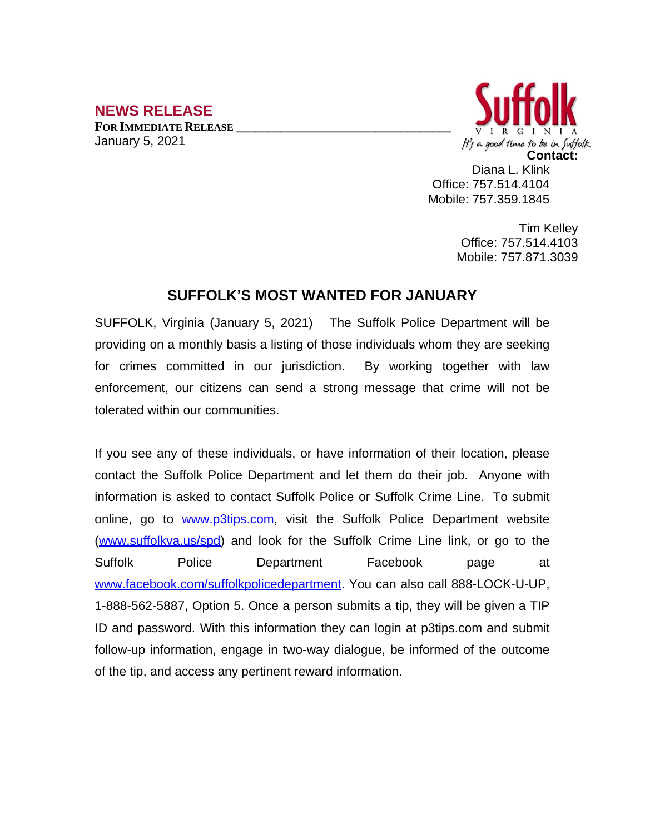## **NEWS RELEASE**

**FOR IMMEDIATE RELEASE \_\_\_\_\_\_\_\_\_\_\_\_\_\_\_\_\_\_\_\_\_\_\_\_\_\_\_\_\_\_\_\_\_\_** January 5, 2021



Diana L. Klink Office: 757.514.4104 Mobile: 757.359.1845

> Tim Kelley Office: 757.514.4103 Mobile: 757.871.3039

## **SUFFOLK'S MOST WANTED FOR JANUARY**

SUFFOLK, Virginia (January 5, 2021) The Suffolk Police Department will be providing on a monthly basis a listing of those individuals whom they are seeking for crimes committed in our jurisdiction. By working together with law enforcement, our citizens can send a strong message that crime will not be tolerated within our communities.

If you see any of these individuals, or have information of their location, please contact the Suffolk Police Department and let them do their job. Anyone with information is asked to contact Suffolk Police or Suffolk Crime Line. To submit online, go to [www.p3tips.com](http://www.p3tips.com), visit the Suffolk Police Department website ([www.suffolkva.us/spd](http://www.suffolkva.us/spd)) and look for the Suffolk Crime Line link, or go to the Suffolk Police Department Facebook page at [www.facebook.com/suffolkpolicedepartment](http://www.facebook.com/suffolkpolicedepartment). You can also call 888-LOCK-U-UP, 1-888-562-5887, Option 5. Once a person submits a tip, they will be given a TIP ID and password. With this information they can login at p3tips.com and submit follow-up information, engage in two-way dialogue, be informed of the outcome of the tip, and access any pertinent reward information.